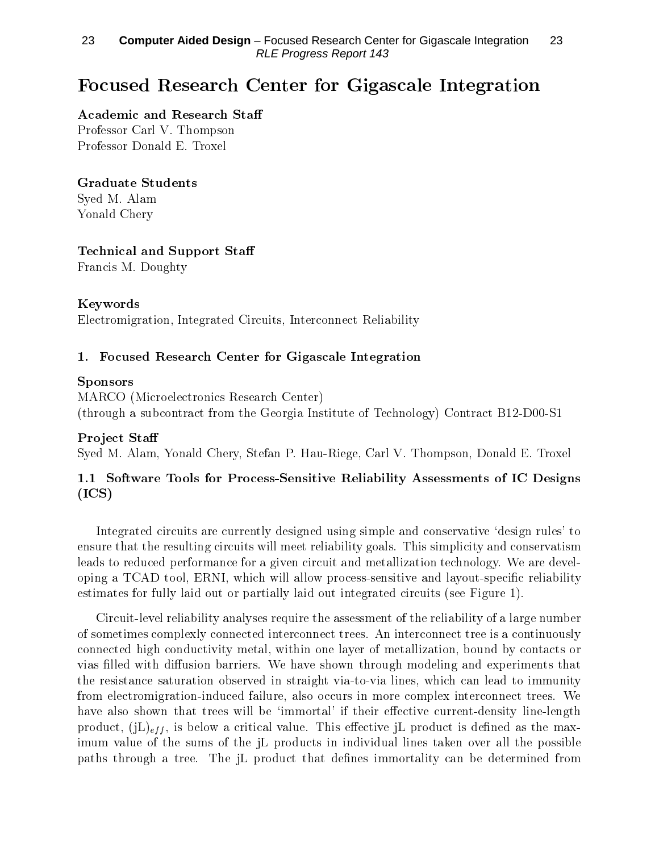# Focused Research Center for Gigascale Integration

#### Academic and Research Sta

Professor Carl V. Thompson Professor Donald E. Troxel

#### Graduate Students

Syed M. Alam Yonald Chery

### Technical and Support Sta

Francis M. Doughty

### Keywords

Electromigration, Integrated Circuits, Interconnect Reliability

### 1. Focused Research Center for Gigascale Integration

#### Sponsors

MARCO (Microelectronics Research Center) (through a subcontract from the Georgia Institute of Technology) Contract B12-D00-S1

### Project Staff

Syed M. Alam, Yonald Chery, Stefan P. Hau-Riege, Carl V. Thompson, Donald E. Troxel

## 1.1 Software Tools for Process-Sensitive Reliability Assessments of IC Designs (ICS)

Integrated circuits are currently designed using simple and conservative `design rules' to ensure that the resulting circuits will meet reliability goals. This simplicity and conservatism leads to reduced performance for a given circuit and metallization technology. We are developing a TCAD tool, ERNI, which will allow process-sensitive and layout-specific reliability estimates for fully laid out or partially laid out integrated circuits (see Figure 1).

Circuit-level reliability analyses require the assessment of the reliability of a large number of sometimes complexly connected interconnect trees. An interconnect tree is a continuously connected high conductivity metal, within one layer of metallization, bound by contacts or vias filled with diffusion barriers. We have shown through modeling and experiments that the resistance saturation observed in straight via-to-via lines, which can lead to immunity from electromigration-induced failure, also occurs in more complex interconnect trees. We have also shown that trees will be 'immortal' if their effective current-density line-length product,  $(iL)_{eff}$ , is below a critical value. This effective jL product is defined as the maximum value of the sums of the jL products in individual lines taken over all the possible paths through a tree. The jL product that defines immortality can be determined from